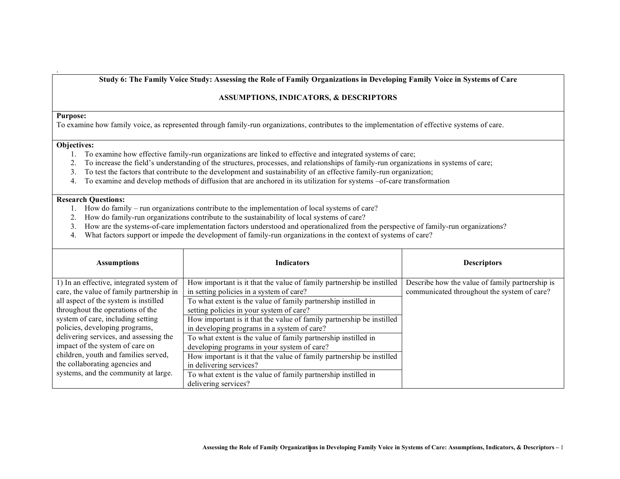Study 6: The Family Voice Study: Assessing the Role of Family Organizations in Developing Family Voice in Systems of Care

## **ASSUMPTIONS, INDICATORS, & DESCRIPTORS**

## **Purpose:**

.

To examine how family voice, as represented through family-run organizations, contributes to the implementation of effective systems of care.

## **Objectives:**

- 1. To examine how effective family-run organizations are linked to effective and integrated systems of care;
- 2. To increase the field's understanding of the structures, processes, and relationships of family-run organizations in systems of care;
- 3. To test the factors that contribute to the development and sustainability of an effective family-run organization;
- 4. To examine and develop methods of diffusion that are anchored in its utilization for systems –of-care transformation

## **Research Questions:**

- 1. How do family run organizations contribute to the implementation of local systems of care?
- 2. How do family-run organizations contribute to the sustainability of local systems of care?
- 3. How are the systems-of-care implementation factors understood and operationalized from the perspective of family-run organizations?
- 4. What factors support or impede the development of family-run organizations in the context of systems of care?

| <b>Assumptions</b>                       | <b>Indicators</b>                                                     | <b>Descriptors</b>                              |
|------------------------------------------|-----------------------------------------------------------------------|-------------------------------------------------|
| 1) In an effective, integrated system of | How important is it that the value of family partnership be instilled | Describe how the value of family partnership is |
| care, the value of family partnership in | in setting policies in a system of care?                              | communicated throughout the system of care?     |
| all aspect of the system is instilled    | To what extent is the value of family partnership instilled in        |                                                 |
| throughout the operations of the         | setting policies in your system of care?                              |                                                 |
| system of care, including setting        | How important is it that the value of family partnership be instilled |                                                 |
| policies, developing programs,           | in developing programs in a system of care?                           |                                                 |
| delivering services, and assessing the   | To what extent is the value of family partnership instilled in        |                                                 |
| impact of the system of care on          | developing programs in your system of care?                           |                                                 |
| children, youth and families served,     | How important is it that the value of family partnership be instilled |                                                 |
| the collaborating agencies and           | in delivering services?                                               |                                                 |
| systems, and the community at large.     | To what extent is the value of family partnership instilled in        |                                                 |
|                                          | delivering services?                                                  |                                                 |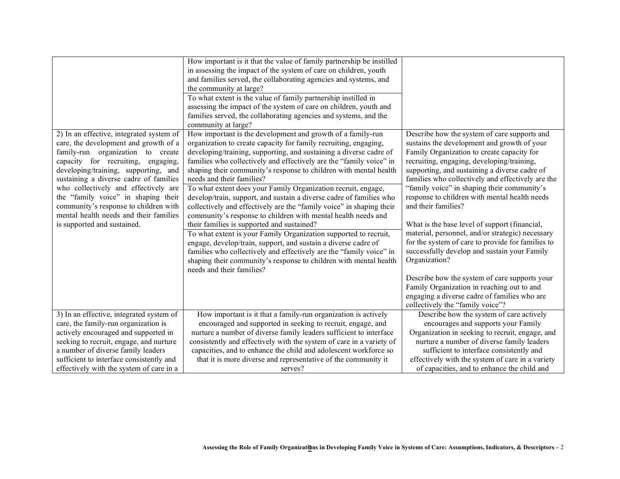| 2) In an effective, integrated system of<br>care, the development and growth of a                                                                                                                                                                                                                 | How important is it that the value of family partnership be instilled<br>in assessing the impact of the system of care on children, youth<br>and families served, the collaborating agencies and systems, and<br>the community at large?<br>To what extent is the value of family partnership instilled in<br>assessing the impact of the system of care on children, youth and<br>families served, the collaborating agencies and systems, and the<br>community at large?<br>How important is the development and growth of a family-run<br>organization to create capacity for family recruiting, engaging, | Describe how the system of care supports and<br>sustains the development and growth of your                                                                                                                                                                                                                                     |
|---------------------------------------------------------------------------------------------------------------------------------------------------------------------------------------------------------------------------------------------------------------------------------------------------|---------------------------------------------------------------------------------------------------------------------------------------------------------------------------------------------------------------------------------------------------------------------------------------------------------------------------------------------------------------------------------------------------------------------------------------------------------------------------------------------------------------------------------------------------------------------------------------------------------------|---------------------------------------------------------------------------------------------------------------------------------------------------------------------------------------------------------------------------------------------------------------------------------------------------------------------------------|
| family-run organization to create<br>capacity for recruiting, engaging,<br>developing/training, supporting, and<br>sustaining a diverse cadre of families                                                                                                                                         | developing/training, supporting, and sustaining a diverse cadre of<br>families who collectively and effectively are the "family voice" in<br>shaping their community's response to children with mental health<br>needs and their families?                                                                                                                                                                                                                                                                                                                                                                   | Family Organization to create capacity for<br>recruiting, engaging, developing/training,<br>supporting, and sustaining a diverse cadre of<br>families who collectively and effectively are the                                                                                                                                  |
| who collectively and effectively are<br>the "family voice" in shaping their<br>community's response to children with<br>mental health needs and their families                                                                                                                                    | To what extent does your Family Organization recruit, engage,<br>develop/train, support, and sustain a diverse cadre of families who<br>collectively and effectively are the "family voice" in shaping their<br>community's response to children with mental health needs and                                                                                                                                                                                                                                                                                                                                 | "family voice" in shaping their community's<br>response to children with mental health needs<br>and their families?                                                                                                                                                                                                             |
| is supported and sustained.                                                                                                                                                                                                                                                                       | their families is supported and sustained?<br>To what extent is your Family Organization supported to recruit,<br>engage, develop/train, support, and sustain a diverse cadre of<br>families who collectively and effectively are the "family voice" in<br>shaping their community's response to children with mental health<br>needs and their families?                                                                                                                                                                                                                                                     | What is the base level of support (financial,<br>material, personnel, and/or strategic) necessary<br>for the system of care to provide for families to<br>successfully develop and sustain your Family<br>Organization?                                                                                                         |
|                                                                                                                                                                                                                                                                                                   |                                                                                                                                                                                                                                                                                                                                                                                                                                                                                                                                                                                                               | Describe how the system of care supports your<br>Family Organization in reaching out to and<br>engaging a diverse cadre of families who are<br>collectively the "family voice"?                                                                                                                                                 |
| 3) In an effective, integrated system of<br>care, the family-run organization is<br>actively encouraged and supported in<br>seeking to recruit, engage, and nurture<br>a number of diverse family leaders<br>sufficient to interface consistently and<br>effectively with the system of care in a | How important is it that a family-run organization is actively<br>encouraged and supported in seeking to recruit, engage, and<br>nurture a number of diverse family leaders sufficient to interface<br>consistently and effectively with the system of care in a variety of<br>capacities, and to enhance the child and adolescent workforce so<br>that it is more diverse and representative of the community it<br>serves?                                                                                                                                                                                  | Describe how the system of care actively<br>encourages and supports your Family<br>Organization in seeking to recruit, engage, and<br>nurture a number of diverse family leaders<br>sufficient to interface consistently and<br>effectively with the system of care in a variety<br>of capacities, and to enhance the child and |
|                                                                                                                                                                                                                                                                                                   |                                                                                                                                                                                                                                                                                                                                                                                                                                                                                                                                                                                                               |                                                                                                                                                                                                                                                                                                                                 |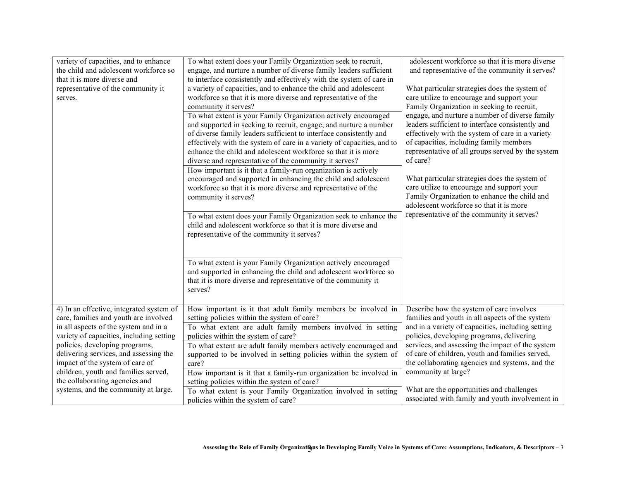| variety of capacities, and to enhance<br>the child and adolescent workforce so<br>that it is more diverse and<br>representative of the community it<br>serves.                                                                                                                                                                                                                                          | To what extent does your Family Organization seek to recruit,<br>engage, and nurture a number of diverse family leaders sufficient<br>to interface consistently and effectively with the system of care in<br>a variety of capacities, and to enhance the child and adolescent<br>workforce so that it is more diverse and representative of the<br>community it serves?<br>To what extent is your Family Organization actively encouraged<br>and supported in seeking to recruit, engage, and nurture a number<br>of diverse family leaders sufficient to interface consistently and<br>effectively with the system of care in a variety of capacities, and to<br>enhance the child and adolescent workforce so that it is more<br>diverse and representative of the community it serves?<br>How important is it that a family-run organization is actively<br>encouraged and supported in enhancing the child and adolescent<br>workforce so that it is more diverse and representative of the<br>community it serves?<br>To what extent does your Family Organization seek to enhance the<br>child and adolescent workforce so that it is more diverse and<br>representative of the community it serves?<br>To what extent is your Family Organization actively encouraged<br>and supported in enhancing the child and adolescent workforce so<br>that it is more diverse and representative of the community it<br>serves? | adolescent workforce so that it is more diverse<br>and representative of the community it serves?<br>What particular strategies does the system of<br>care utilize to encourage and support your<br>Family Organization in seeking to recruit,<br>engage, and nurture a number of diverse family<br>leaders sufficient to interface consistently and<br>effectively with the system of care in a variety<br>of capacities, including family members<br>representative of all groups served by the system<br>of care?<br>What particular strategies does the system of<br>care utilize to encourage and support your<br>Family Organization to enhance the child and<br>adolescent workforce so that it is more<br>representative of the community it serves? |
|---------------------------------------------------------------------------------------------------------------------------------------------------------------------------------------------------------------------------------------------------------------------------------------------------------------------------------------------------------------------------------------------------------|--------------------------------------------------------------------------------------------------------------------------------------------------------------------------------------------------------------------------------------------------------------------------------------------------------------------------------------------------------------------------------------------------------------------------------------------------------------------------------------------------------------------------------------------------------------------------------------------------------------------------------------------------------------------------------------------------------------------------------------------------------------------------------------------------------------------------------------------------------------------------------------------------------------------------------------------------------------------------------------------------------------------------------------------------------------------------------------------------------------------------------------------------------------------------------------------------------------------------------------------------------------------------------------------------------------------------------------------------------------------------------------------------------------------------------|--------------------------------------------------------------------------------------------------------------------------------------------------------------------------------------------------------------------------------------------------------------------------------------------------------------------------------------------------------------------------------------------------------------------------------------------------------------------------------------------------------------------------------------------------------------------------------------------------------------------------------------------------------------------------------------------------------------------------------------------------------------|
| 4) In an effective, integrated system of<br>care, families and youth are involved<br>in all aspects of the system and in a<br>variety of capacities, including setting<br>policies, developing programs,<br>delivering services, and assessing the<br>impact of the system of care of<br>children, youth and families served,<br>the collaborating agencies and<br>systems, and the community at large. | How important is it that adult family members be involved in<br>setting policies within the system of care?<br>To what extent are adult family members involved in setting<br>policies within the system of care?<br>To what extent are adult family members actively encouraged and<br>supported to be involved in setting policies within the system of<br>care?<br>How important is it that a family-run organization be involved in<br>setting policies within the system of care?<br>To what extent is your Family Organization involved in setting<br>policies within the system of care?                                                                                                                                                                                                                                                                                                                                                                                                                                                                                                                                                                                                                                                                                                                                                                                                                                | Describe how the system of care involves<br>families and youth in all aspects of the system<br>and in a variety of capacities, including setting<br>policies, developing programs, delivering<br>services, and assessing the impact of the system<br>of care of children, youth and families served,<br>the collaborating agencies and systems, and the<br>community at large?<br>What are the opportunities and challenges<br>associated with family and youth involvement in                                                                                                                                                                                                                                                                               |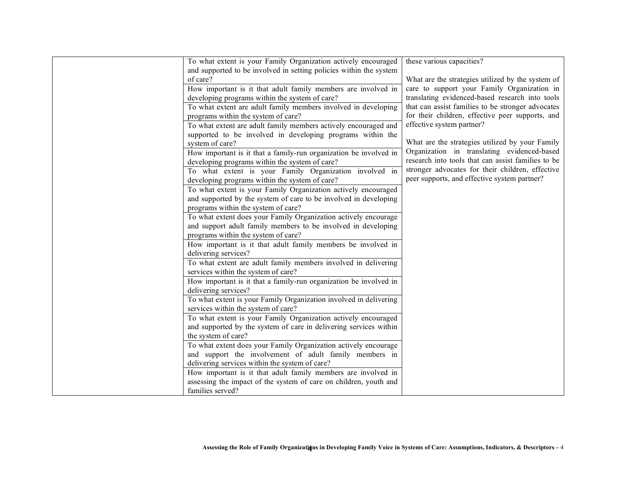| To what extent is your Family Organization actively encouraged<br>these various capacities?                             |  |
|-------------------------------------------------------------------------------------------------------------------------|--|
| and supported to be involved in setting policies within the system                                                      |  |
| of care?<br>What are the strategies utilized by the system of                                                           |  |
| care to support your Family Organization in<br>How important is it that adult family members are involved in            |  |
| translating evidenced-based research into tools<br>developing programs within the system of care?                       |  |
| To what extent are adult family members involved in developing<br>that can assist families to be stronger advocates     |  |
| for their children, effective peer supports, and<br>programs within the system of care?                                 |  |
| effective system partner?<br>To what extent are adult family members actively encouraged and                            |  |
| supported to be involved in developing programs within the                                                              |  |
| What are the strategies utilized by your Family<br>system of care?                                                      |  |
| Organization in translating evidenced-based                                                                             |  |
| How important is it that a family-run organization be involved in<br>research into tools that can assist families to be |  |
| developing programs within the system of care?<br>stronger advocates for their children, effective                      |  |
| To what extent is your Family Organization involved in<br>peer supports, and effective system partner?                  |  |
| developing programs within the system of care?                                                                          |  |
| To what extent is your Family Organization actively encouraged                                                          |  |
| and supported by the system of care to be involved in developing                                                        |  |
| programs within the system of care?                                                                                     |  |
| To what extent does your Family Organization actively encourage                                                         |  |
| and support adult family members to be involved in developing                                                           |  |
| programs within the system of care?                                                                                     |  |
| How important is it that adult family members be involved in                                                            |  |
| delivering services?                                                                                                    |  |
| To what extent are adult family members involved in delivering                                                          |  |
| services within the system of care?                                                                                     |  |
| How important is it that a family-run organization be involved in                                                       |  |
| delivering services?                                                                                                    |  |
| To what extent is your Family Organization involved in delivering                                                       |  |
| services within the system of care?                                                                                     |  |
| To what extent is your Family Organization actively encouraged                                                          |  |
| and supported by the system of care in delivering services within                                                       |  |
| the system of care?                                                                                                     |  |
| To what extent does your Family Organization actively encourage                                                         |  |
| and support the involvement of adult family members in                                                                  |  |
| delivering services within the system of care?                                                                          |  |
| How important is it that adult family members are involved in                                                           |  |
| assessing the impact of the system of care on children, youth and                                                       |  |
| families served?                                                                                                        |  |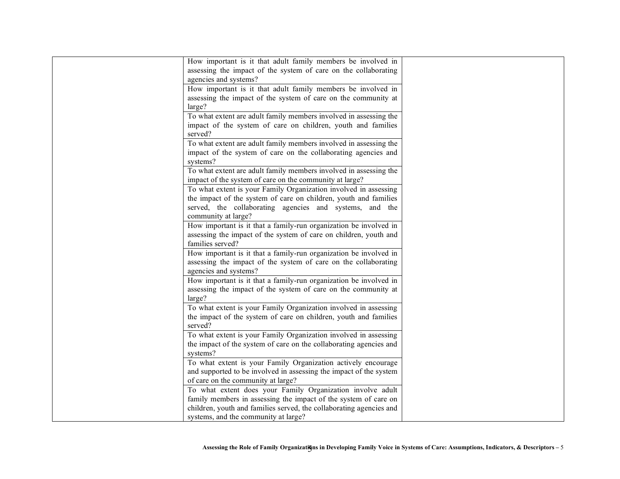| How important is it that adult family members be involved in        |  |
|---------------------------------------------------------------------|--|
| assessing the impact of the system of care on the collaborating     |  |
| agencies and systems?                                               |  |
| How important is it that adult family members be involved in        |  |
| assessing the impact of the system of care on the community at      |  |
| large?                                                              |  |
| To what extent are adult family members involved in assessing the   |  |
| impact of the system of care on children, youth and families        |  |
| served?                                                             |  |
| To what extent are adult family members involved in assessing the   |  |
| impact of the system of care on the collaborating agencies and      |  |
| systems?                                                            |  |
| To what extent are adult family members involved in assessing the   |  |
| impact of the system of care on the community at large?             |  |
| To what extent is your Family Organization involved in assessing    |  |
| the impact of the system of care on children, youth and families    |  |
| served, the collaborating agencies and systems, and the             |  |
| community at large?                                                 |  |
| How important is it that a family-run organization be involved in   |  |
| assessing the impact of the system of care on children, youth and   |  |
| families served?                                                    |  |
| How important is it that a family-run organization be involved in   |  |
| assessing the impact of the system of care on the collaborating     |  |
| agencies and systems?                                               |  |
| How important is it that a family-run organization be involved in   |  |
| assessing the impact of the system of care on the community at      |  |
| large?                                                              |  |
| To what extent is your Family Organization involved in assessing    |  |
| the impact of the system of care on children, youth and families    |  |
| served?                                                             |  |
| To what extent is your Family Organization involved in assessing    |  |
| the impact of the system of care on the collaborating agencies and  |  |
| systems?                                                            |  |
| To what extent is your Family Organization actively encourage       |  |
| and supported to be involved in assessing the impact of the system  |  |
| of care on the community at large?                                  |  |
| To what extent does your Family Organization involve adult          |  |
| family members in assessing the impact of the system of care on     |  |
| children, youth and families served, the collaborating agencies and |  |
| systems, and the community at large?                                |  |
|                                                                     |  |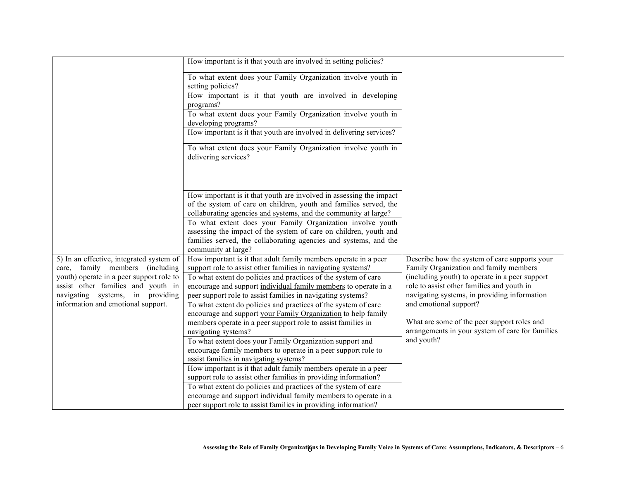|                                          | How important is it that youth are involved in setting policies?    |                                                  |
|------------------------------------------|---------------------------------------------------------------------|--------------------------------------------------|
|                                          |                                                                     |                                                  |
|                                          | To what extent does your Family Organization involve youth in       |                                                  |
|                                          | setting policies?                                                   |                                                  |
|                                          | How important is it that youth are involved in developing           |                                                  |
|                                          | programs?                                                           |                                                  |
|                                          | To what extent does your Family Organization involve youth in       |                                                  |
|                                          | developing programs?                                                |                                                  |
|                                          | How important is it that youth are involved in delivering services? |                                                  |
|                                          | To what extent does your Family Organization involve youth in       |                                                  |
|                                          | delivering services?                                                |                                                  |
|                                          |                                                                     |                                                  |
|                                          |                                                                     |                                                  |
|                                          |                                                                     |                                                  |
|                                          | How important is it that youth are involved in assessing the impact |                                                  |
|                                          | of the system of care on children, youth and families served, the   |                                                  |
|                                          | collaborating agencies and systems, and the community at large?     |                                                  |
|                                          | To what extent does your Family Organization involve youth          |                                                  |
|                                          | assessing the impact of the system of care on children, youth and   |                                                  |
|                                          | families served, the collaborating agencies and systems, and the    |                                                  |
|                                          | community at large?                                                 |                                                  |
| 5) In an effective, integrated system of | How important is it that adult family members operate in a peer     | Describe how the system of care supports your    |
| care, family members (including          | support role to assist other families in navigating systems?        | Family Organization and family members           |
| youth) operate in a peer support role to | To what extent do policies and practices of the system of care      | (including youth) to operate in a peer support   |
| assist other families and youth in       | encourage and support individual family members to operate in a     | role to assist other families and youth in       |
| navigating systems, in providing         | peer support role to assist families in navigating systems?         | navigating systems, in providing information     |
| information and emotional support.       | To what extent do policies and practices of the system of care      | and emotional support?                           |
|                                          | encourage and support your Family Organization to help family       |                                                  |
|                                          | members operate in a peer support role to assist families in        | What are some of the peer support roles and      |
|                                          | navigating systems?                                                 | arrangements in your system of care for families |
|                                          | To what extent does your Family Organization support and            | and youth?                                       |
|                                          | encourage family members to operate in a peer support role to       |                                                  |
|                                          | assist families in navigating systems?                              |                                                  |
|                                          | How important is it that adult family members operate in a peer     |                                                  |
|                                          | support role to assist other families in providing information?     |                                                  |
|                                          | To what extent do policies and practices of the system of care      |                                                  |
|                                          | encourage and support individual family members to operate in a     |                                                  |
|                                          | peer support role to assist families in providing information?      |                                                  |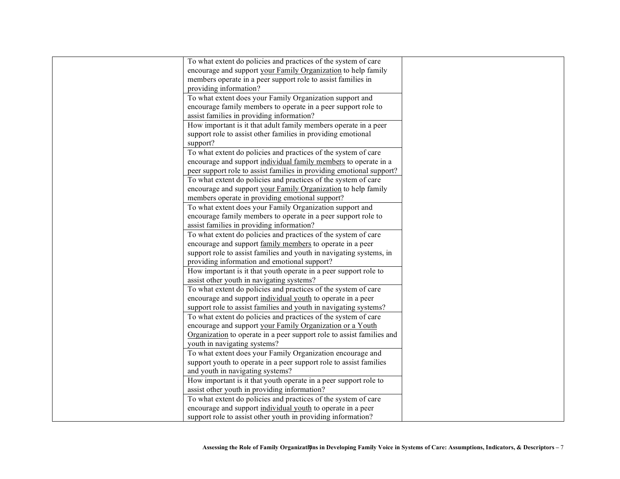| To what extent do policies and practices of the system of care        |  |
|-----------------------------------------------------------------------|--|
| encourage and support your Family Organization to help family         |  |
| members operate in a peer support role to assist families in          |  |
| providing information?                                                |  |
| To what extent does your Family Organization support and              |  |
| encourage family members to operate in a peer support role to         |  |
| assist families in providing information?                             |  |
| How important is it that adult family members operate in a peer       |  |
| support role to assist other families in providing emotional          |  |
| support?                                                              |  |
| To what extent do policies and practices of the system of care        |  |
| encourage and support individual family members to operate in a       |  |
| peer support role to assist families in providing emotional support?  |  |
| To what extent do policies and practices of the system of care        |  |
| encourage and support your Family Organization to help family         |  |
| members operate in providing emotional support?                       |  |
| To what extent does your Family Organization support and              |  |
| encourage family members to operate in a peer support role to         |  |
| assist families in providing information?                             |  |
| To what extent do policies and practices of the system of care        |  |
| encourage and support family members to operate in a peer             |  |
| support role to assist families and youth in navigating systems, in   |  |
| providing information and emotional support?                          |  |
| How important is it that youth operate in a peer support role to      |  |
| assist other youth in navigating systems?                             |  |
| To what extent do policies and practices of the system of care        |  |
| encourage and support individual youth to operate in a peer           |  |
| support role to assist families and youth in navigating systems?      |  |
| To what extent do policies and practices of the system of care        |  |
| encourage and support your Family Organization or a Youth             |  |
| Organization to operate in a peer support role to assist families and |  |
| youth in navigating systems?                                          |  |
| To what extent does your Family Organization encourage and            |  |
| support youth to operate in a peer support role to assist families    |  |
| and youth in navigating systems?                                      |  |
| How important is it that youth operate in a peer support role to      |  |
| assist other youth in providing information?                          |  |
| To what extent do policies and practices of the system of care        |  |
| encourage and support individual youth to operate in a peer           |  |
| support role to assist other youth in providing information?          |  |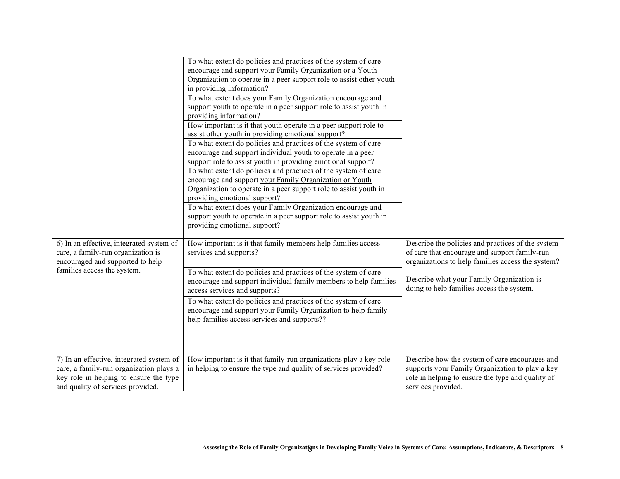|                                                                                                                                                                    | To what extent do policies and practices of the system of care<br>encourage and support your Family Organization or a Youth<br>Organization to operate in a peer support role to assist other youth<br>in providing information?<br>To what extent does your Family Organization encourage and<br>support youth to operate in a peer support role to assist youth in<br>providing information?<br>How important is it that youth operate in a peer support role to<br>assist other youth in providing emotional support?<br>To what extent do policies and practices of the system of care<br>encourage and support individual youth to operate in a peer<br>support role to assist youth in providing emotional support?<br>To what extent do policies and practices of the system of care<br>encourage and support your Family Organization or Youth<br>Organization to operate in a peer support role to assist youth in<br>providing emotional support?<br>To what extent does your Family Organization encourage and<br>support youth to operate in a peer support role to assist youth in<br>providing emotional support? |                                                                                                                                                                                                                                                   |
|--------------------------------------------------------------------------------------------------------------------------------------------------------------------|---------------------------------------------------------------------------------------------------------------------------------------------------------------------------------------------------------------------------------------------------------------------------------------------------------------------------------------------------------------------------------------------------------------------------------------------------------------------------------------------------------------------------------------------------------------------------------------------------------------------------------------------------------------------------------------------------------------------------------------------------------------------------------------------------------------------------------------------------------------------------------------------------------------------------------------------------------------------------------------------------------------------------------------------------------------------------------------------------------------------------------|---------------------------------------------------------------------------------------------------------------------------------------------------------------------------------------------------------------------------------------------------|
| 6) In an effective, integrated system of<br>care, a family-run organization is<br>encouraged and supported to help<br>families access the system.                  | How important is it that family members help families access<br>services and supports?<br>To what extent do policies and practices of the system of care<br>encourage and support individual family members to help families<br>access services and supports?<br>To what extent do policies and practices of the system of care<br>encourage and support your Family Organization to help family<br>help families access services and supports??                                                                                                                                                                                                                                                                                                                                                                                                                                                                                                                                                                                                                                                                                | Describe the policies and practices of the system<br>of care that encourage and support family-run<br>organizations to help families access the system?<br>Describe what your Family Organization is<br>doing to help families access the system. |
| 7) In an effective, integrated system of<br>care, a family-run organization plays a<br>key role in helping to ensure the type<br>and quality of services provided. | How important is it that family-run organizations play a key role<br>in helping to ensure the type and quality of services provided?                                                                                                                                                                                                                                                                                                                                                                                                                                                                                                                                                                                                                                                                                                                                                                                                                                                                                                                                                                                            | Describe how the system of care encourages and<br>supports your Family Organization to play a key<br>role in helping to ensure the type and quality of<br>services provided.                                                                      |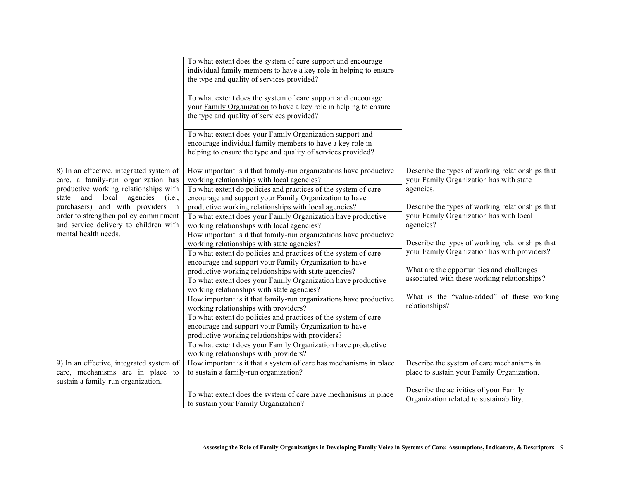|                                                                                                                           | To what extent does the system of care support and encourage<br>individual family members to have a key role in helping to ensure<br>the type and quality of services provided?       |                                                                                             |
|---------------------------------------------------------------------------------------------------------------------------|---------------------------------------------------------------------------------------------------------------------------------------------------------------------------------------|---------------------------------------------------------------------------------------------|
|                                                                                                                           | To what extent does the system of care support and encourage<br>your Family Organization to have a key role in helping to ensure<br>the type and quality of services provided?        |                                                                                             |
|                                                                                                                           | To what extent does your Family Organization support and<br>encourage individual family members to have a key role in<br>helping to ensure the type and quality of services provided? |                                                                                             |
| 8) In an effective, integrated system of<br>care, a family-run organization has                                           | How important is it that family-run organizations have productive<br>working relationships with local agencies?                                                                       | Describe the types of working relationships that<br>your Family Organization has with state |
| productive working relationships with<br>local<br>agencies<br>and<br>(i.e.,<br>state<br>purchasers) and with providers in | To what extent do policies and practices of the system of care<br>encourage and support your Family Organization to have<br>productive working relationships with local agencies?     | agencies.<br>Describe the types of working relationships that                               |
| order to strengthen policy commitment<br>and service delivery to children with                                            | To what extent does your Family Organization have productive<br>working relationships with local agencies?                                                                            | your Family Organization has with local<br>agencies?                                        |
| mental health needs.                                                                                                      | How important is it that family-run organizations have productive<br>working relationships with state agencies?                                                                       | Describe the types of working relationships that                                            |
|                                                                                                                           | To what extent do policies and practices of the system of care<br>encourage and support your Family Organization to have                                                              | your Family Organization has with providers?                                                |
|                                                                                                                           | productive working relationships with state agencies?<br>To what extent does your Family Organization have productive                                                                 | What are the opportunities and challenges<br>associated with these working relationships?   |
|                                                                                                                           | working relationships with state agencies?<br>How important is it that family-run organizations have productive<br>working relationships with providers?                              | What is the "value-added" of these working<br>relationships?                                |
|                                                                                                                           | To what extent do policies and practices of the system of care<br>encourage and support your Family Organization to have                                                              |                                                                                             |
|                                                                                                                           | productive working relationships with providers?<br>To what extent does your Family Organization have productive<br>working relationships with providers?                             |                                                                                             |
| 9) In an effective, integrated system of<br>care, mechanisms are in place to<br>sustain a family-run organization.        | How important is it that a system of care has mechanisms in place<br>to sustain a family-run organization?                                                                            | Describe the system of care mechanisms in<br>place to sustain your Family Organization.     |
|                                                                                                                           | To what extent does the system of care have mechanisms in place<br>to sustain your Family Organization?                                                                               | Describe the activities of your Family<br>Organization related to sustainability.           |